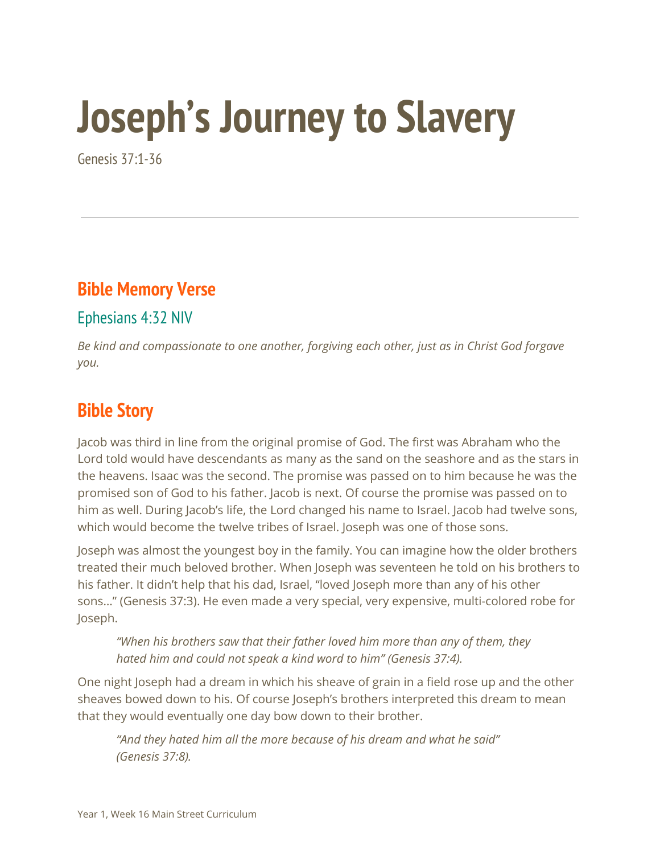# **Joseph's Journey to Slavery**

Genesis 37:1-36

#### **Bible Memory Verse**

#### Ephesians 4:32 NIV

*Be kind and compassionate to one another, forgiving each other, just as in Christ God forgave you.*

#### **Bible Story**

Jacob was third in line from the original promise of God. The first was Abraham who the Lord told would have descendants as many as the sand on the seashore and as the stars in the heavens. Isaac was the second. The promise was passed on to him because he was the promised son of God to his father. Jacob is next. Of course the promise was passed on to him as well. During Jacob's life, the Lord changed his name to Israel. Jacob had twelve sons, which would become the twelve tribes of Israel. Joseph was one of those sons.

Joseph was almost the youngest boy in the family. You can imagine how the older brothers treated their much beloved brother. When Joseph was seventeen he told on his brothers to his father. It didn't help that his dad, Israel, "loved Joseph more than any of his other sons…" (Genesis 37:3). He even made a very special, very expensive, multi-colored robe for Joseph.

*"When his brothers saw that their father loved him more than any of them, they hated him and could not speak a kind word to him" (Genesis 37:4).*

One night Joseph had a dream in which his sheave of grain in a field rose up and the other sheaves bowed down to his. Of course Joseph's brothers interpreted this dream to mean that they would eventually one day bow down to their brother.

*"And they hated him all the more because of his dream and what he said" (Genesis 37:8).*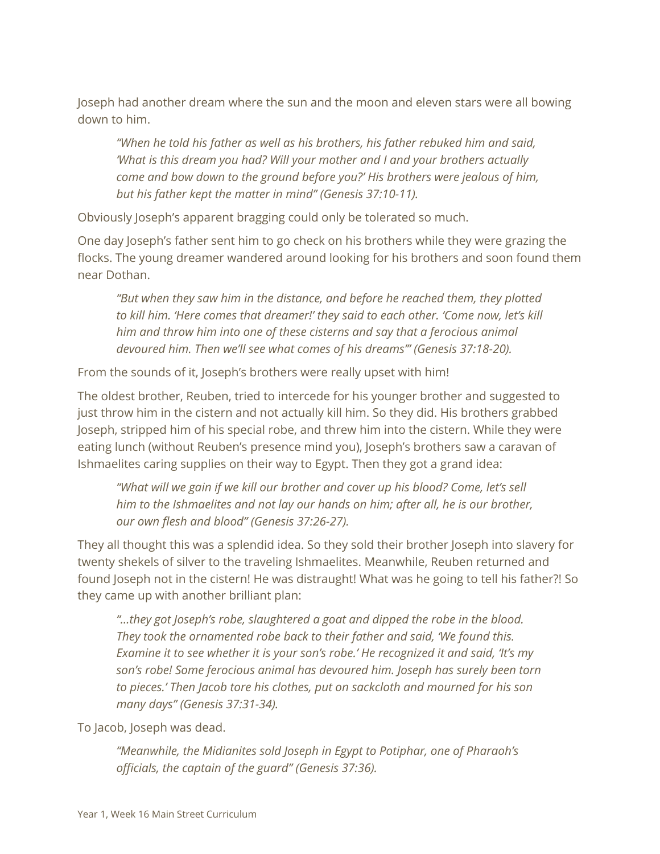Joseph had another dream where the sun and the moon and eleven stars were all bowing down to him.

*"When he told his father as well as his brothers, his father rebuked him and said, 'What is this dream you had? Will your mother and I and your brothers actually come and bow down to the ground before you?' His brothers were jealous of him, but his father kept the matter in mind" (Genesis 37:10-11).*

Obviously Joseph's apparent bragging could only be tolerated so much.

One day Joseph's father sent him to go check on his brothers while they were grazing the flocks. The young dreamer wandered around looking for his brothers and soon found them near Dothan.

*"But when they saw him in the distance, and before he reached them, they plotted to kill him. 'Here comes that dreamer!' they said to each other. 'Come now, let's kill him and throw him into one of these cisterns and say that a ferocious animal devoured him. Then we'll see what comes of his dreams'" (Genesis 37:18-20).*

From the sounds of it, Joseph's brothers were really upset with him!

The oldest brother, Reuben, tried to intercede for his younger brother and suggested to just throw him in the cistern and not actually kill him. So they did. His brothers grabbed Joseph, stripped him of his special robe, and threw him into the cistern. While they were eating lunch (without Reuben's presence mind you), Joseph's brothers saw a caravan of Ishmaelites caring supplies on their way to Egypt. Then they got a grand idea:

*"What will we gain if we kill our brother and cover up his blood? Come, let's sell him to the Ishmaelites and not lay our hands on him; after all, he is our brother, our own flesh and blood" (Genesis 37:26-27).*

They all thought this was a splendid idea. So they sold their brother Joseph into slavery for twenty shekels of silver to the traveling Ishmaelites. Meanwhile, Reuben returned and found Joseph not in the cistern! He was distraught! What was he going to tell his father?! So they came up with another brilliant plan:

*"...they got Joseph's robe, slaughtered a goat and dipped the robe in the blood. They took the ornamented robe back to their father and said, 'We found this. Examine it to see whether it is your son's robe.' He recognized it and said, 'It's my son's robe! Some ferocious animal has devoured him. Joseph has surely been torn to pieces.' Then Jacob tore his clothes, put on sackcloth and mourned for his son many days" (Genesis 37:31-34).*

To Jacob, Joseph was dead.

*"Meanwhile, the Midianites sold Joseph in Egypt to Potiphar, one of Pharaoh's officials, the captain of the guard" (Genesis 37:36).*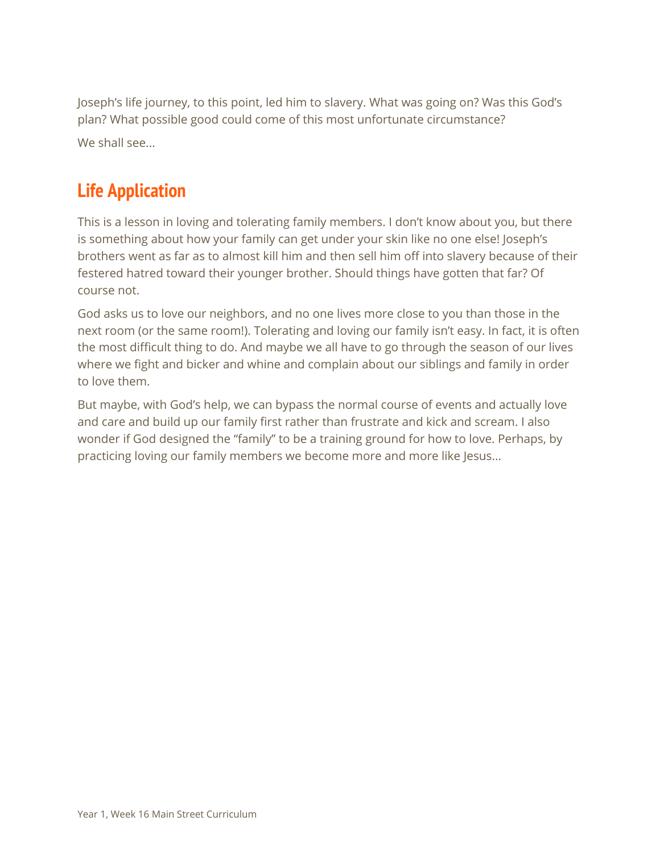Joseph's life journey, to this point, led him to slavery. What was going on? Was this God's plan? What possible good could come of this most unfortunate circumstance? We shall see...

### **Life Application**

This is a lesson in loving and tolerating family members. I don't know about you, but there is something about how your family can get under your skin like no one else! Joseph's brothers went as far as to almost kill him and then sell him off into slavery because of their festered hatred toward their younger brother. Should things have gotten that far? Of course not.

God asks us to love our neighbors, and no one lives more close to you than those in the next room (or the same room!). Tolerating and loving our family isn't easy. In fact, it is often the most difficult thing to do. And maybe we all have to go through the season of our lives where we fight and bicker and whine and complain about our siblings and family in order to love them.

But maybe, with God's help, we can bypass the normal course of events and actually love and care and build up our family first rather than frustrate and kick and scream. I also wonder if God designed the "family" to be a training ground for how to love. Perhaps, by practicing loving our family members we become more and more like Jesus...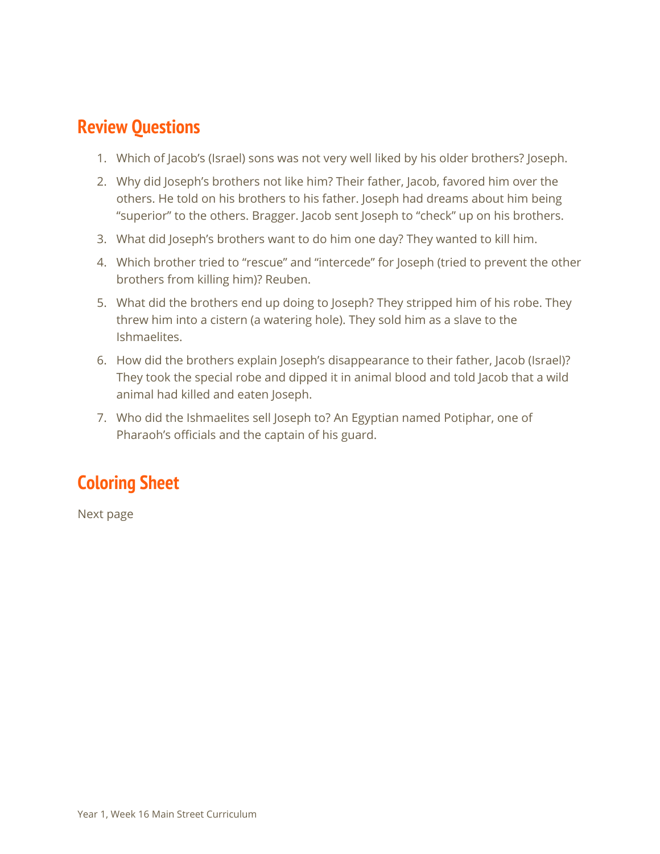#### **Review Questions**

- 1. Which of Jacob's (Israel) sons was not very well liked by his older brothers? Joseph.
- 2. Why did Joseph's brothers not like him? Their father, Jacob, favored him over the others. He told on his brothers to his father. Joseph had dreams about him being "superior" to the others. Bragger. Jacob sent Joseph to "check" up on his brothers.
- 3. What did Joseph's brothers want to do him one day? They wanted to kill him.
- 4. Which brother tried to "rescue" and "intercede" for Joseph (tried to prevent the other brothers from killing him)? Reuben.
- 5. What did the brothers end up doing to Joseph? They stripped him of his robe. They threw him into a cistern (a watering hole). They sold him as a slave to the Ishmaelites.
- 6. How did the brothers explain Joseph's disappearance to their father, Jacob (Israel)? They took the special robe and dipped it in animal blood and told Jacob that a wild animal had killed and eaten Joseph.
- 7. Who did the Ishmaelites sell Joseph to? An Egyptian named Potiphar, one of Pharaoh's officials and the captain of his guard.

## **Coloring Sheet**

Next page